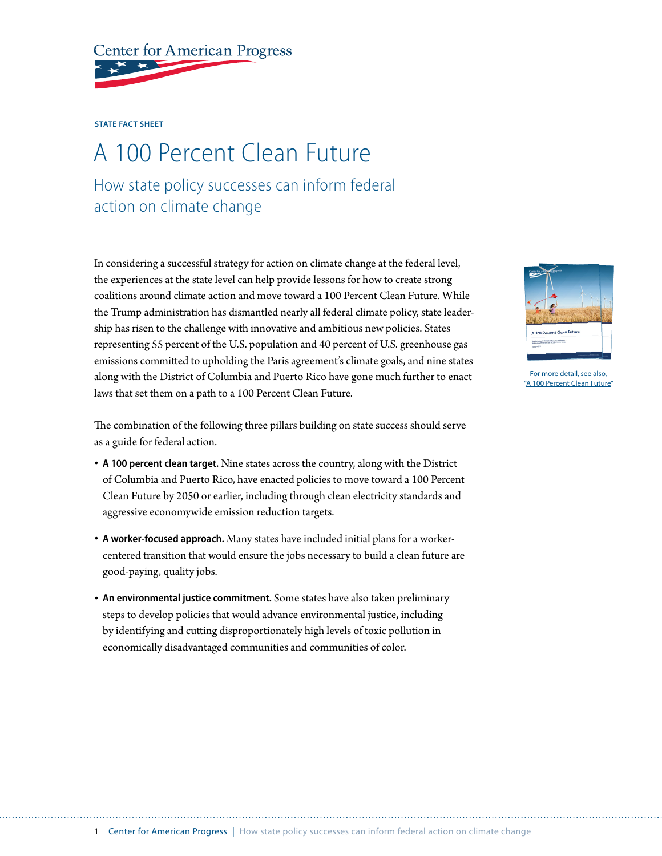

## **STATE FACT SHEET**

## A 100 Percent Clean Future

How state policy successes can inform federal action on climate change

In considering a successful strategy for action on climate change at the federal level, the experiences at the state level can help provide lessons for how to create strong coalitions around climate action and move toward a 100 Percent Clean Future. While the Trump administration has dismantled nearly all federal climate policy, state leadership has risen to the challenge with innovative and ambitious new policies. States representing 55 percent of the U.S. population and 40 percent of U.S. greenhouse gas emissions committed to upholding the Paris agreement's climate goals, and nine states along with the District of Columbia and Puerto Rico have gone much further to enact laws that set them on a path to a 100 Percent Clean Future.

The combination of the following three pillars building on state success should serve as a guide for federal action.

- **A 100 percent clean target.** Nine states across the country, along with the District of Columbia and Puerto Rico, have enacted policies to move toward a 100 Percent Clean Future by 2050 or earlier, including through clean electricity standards and aggressive economywide emission reduction targets.
- **A worker-focused approach.** Many states have included initial plans for a workercentered transition that would ensure the jobs necessary to build a clean future are good-paying, quality jobs.
- **An environmental justice commitment.** Some states have also taken preliminary steps to develop policies that would advance environmental justice, including by identifying and cutting disproportionately high levels of toxic pollution in economically disadvantaged communities and communities of color.



For more detail, see also, "A 100 Percent Clean Future"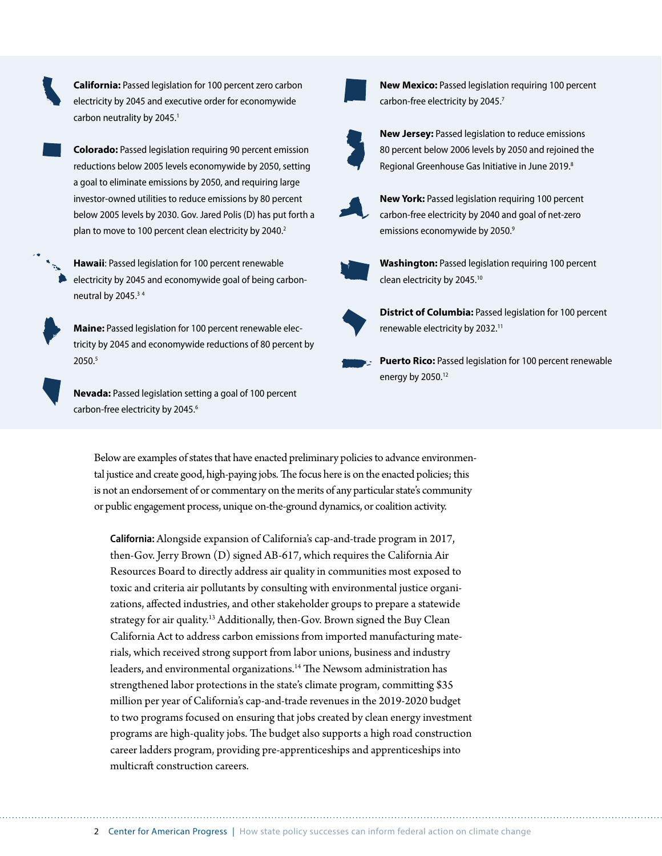**California:** Passed legislation for 100 percent zero carbon electricity by 2045 and executive order for economywide carbon neutrality by 2045.<sup>1</sup>

**Colorado:** Passed legislation requiring 90 percent emission reductions below 2005 levels economywide by 2050, setting a goal to eliminate emissions by 2050, and requiring large investor-owned utilities to reduce emissions by 80 percent below 2005 levels by 2030. Gov. Jared Polis (D) has put forth a plan to move to 100 percent clean electricity by 2040.<sup>2</sup>

**Hawaii**: Passed legislation for 100 percent renewable electricity by 2045 and economywide goal of being carbonneutral by 2045.<sup>34</sup>

**Maine:** Passed legislation for 100 percent renewable electricity by 2045 and economywide reductions of 80 percent by 2050.5

**Nevada:** Passed legislation setting a goal of 100 percent carbon-free electricity by 2045.<sup>6</sup>



**New Mexico:** Passed legislation requiring 100 percent carbon-free electricity by 2045.<sup>7</sup>



**New Jersey:** Passed legislation to reduce emissions 80 percent below 2006 levels by 2050 and rejoined the Regional Greenhouse Gas Initiative in June 2019.<sup>8</sup>



**New York:** Passed legislation requiring 100 percent carbon-free electricity by 2040 and goal of net-zero emissions economywide by 2050.9



**Washington:** Passed legislation requiring 100 percent clean electricity by 2045.<sup>10</sup>



**District of Columbia:** Passed legislation for 100 percent renewable electricity by 2032.11



Below are examples of states that have enacted preliminary policies to advance environmental justice and create good, high-paying jobs. The focus here is on the enacted policies; this is not an endorsement of or commentary on the merits of any particular state's community or public engagement process, unique on-the-ground dynamics, or coalition activity.

**California:** Alongside expansion of California's cap-and-trade program in 2017, then-Gov. Jerry Brown (D) signed AB-617, which requires the California Air Resources Board to directly address air quality in communities most exposed to toxic and criteria air pollutants by consulting with environmental justice organizations, affected industries, and other stakeholder groups to prepare a statewide strategy for air quality.<sup>13</sup> Additionally, then-Gov. Brown signed the Buy Clean California Act to address carbon emissions from imported manufacturing materials, which received strong support from labor unions, business and industry leaders, and environmental organizations.<sup>14</sup> The Newsom administration has strengthened labor protections in the state's climate program, committing \$35 million per year of California's cap-and-trade revenues in the 2019-2020 budget to two programs focused on ensuring that jobs created by clean energy investment programs are high-quality jobs. The budget also supports a high road construction career ladders program, providing pre-apprenticeships and apprenticeships into multicraft construction careers.

2 Center for American Progress | How state policy successes can inform federal action on climate change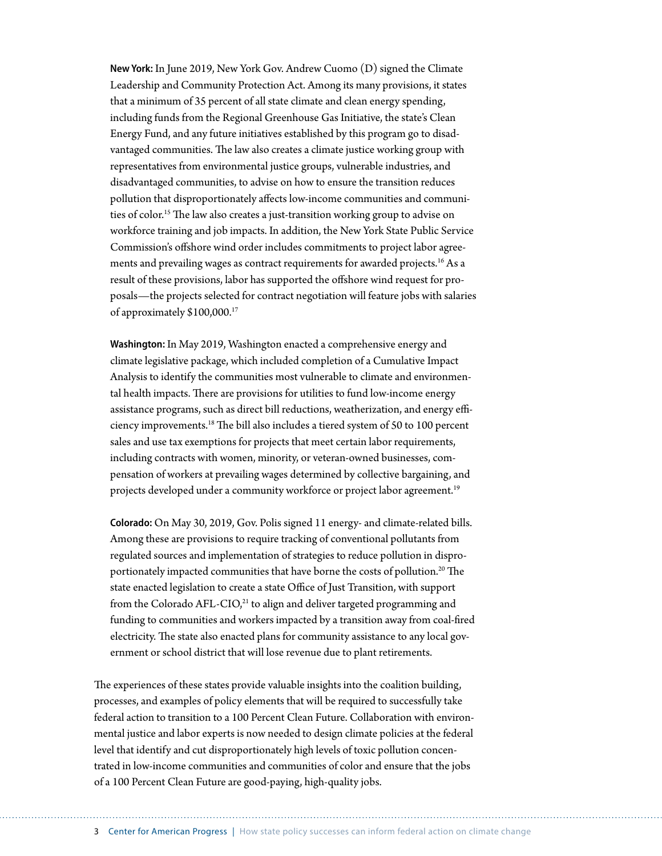**New York:** In June 2019, New York Gov. Andrew Cuomo (D) signed the Climate Leadership and Community Protection Act. Among its many provisions, it states that a minimum of 35 percent of all state climate and clean energy spending, including funds from the Regional Greenhouse Gas Initiative, the state's Clean Energy Fund, and any future initiatives established by this program go to disadvantaged communities. The law also creates a climate justice working group with representatives from environmental justice groups, vulnerable industries, and disadvantaged communities, to advise on how to ensure the transition reduces pollution that disproportionately affects low-income communities and communities of color.<sup>15</sup> The law also creates a just-transition working group to advise on workforce training and job impacts. In addition, the New York State Public Service Commission's offshore wind order includes commitments to project labor agreements and prevailing wages as contract requirements for awarded projects.<sup>16</sup> As a result of these provisions, labor has supported the offshore wind request for proposals—the projects selected for contract negotiation will feature jobs with salaries of approximately \$100,000.17

**Washington:** In May 2019, Washington enacted a comprehensive energy and climate legislative package, which included completion of a Cumulative Impact Analysis to identify the communities most vulnerable to climate and environmental health impacts. There are provisions for utilities to fund low-income energy assistance programs, such as direct bill reductions, weatherization, and energy efficiency improvements.18 The bill also includes a tiered system of 50 to 100 percent sales and use tax exemptions for projects that meet certain labor requirements, including contracts with women, minority, or veteran-owned businesses, compensation of workers at prevailing wages determined by collective bargaining, and projects developed under a community workforce or project labor agreement.<sup>19</sup>

**Colorado:** On May 30, 2019, Gov. Polis signed 11 energy- and climate-related bills. Among these are provisions to require tracking of conventional pollutants from regulated sources and implementation of strategies to reduce pollution in disproportionately impacted communities that have borne the costs of pollution.<sup>20</sup> The state enacted legislation to create a state Office of Just Transition, with support from the Colorado  $AFL-ClO<sub>1</sub><sup>21</sup>$  to align and deliver targeted programming and funding to communities and workers impacted by a transition away from coal-fired electricity. The state also enacted plans for community assistance to any local government or school district that will lose revenue due to plant retirements.

The experiences of these states provide valuable insights into the coalition building, processes, and examples of policy elements that will be required to successfully take federal action to transition to a 100 Percent Clean Future. Collaboration with environmental justice and labor experts is now needed to design climate policies at the federal level that identify and cut disproportionately high levels of toxic pollution concentrated in low-income communities and communities of color and ensure that the jobs of a 100 Percent Clean Future are good-paying, high-quality jobs.